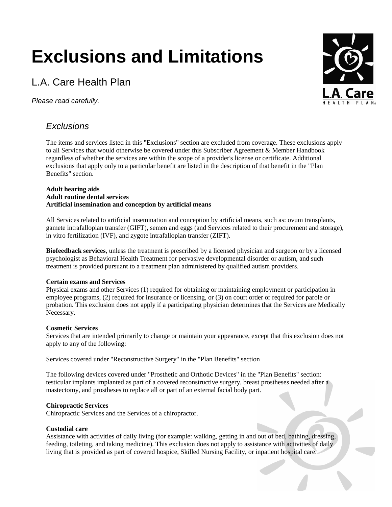# **Exclusions and Limitations**

## L.A. Care Health Plan

*Please read carefully.*



### *Exclusions*

The items and services listed in this "Exclusions" section are excluded from coverage. These exclusions apply to all Services that would otherwise be covered under this Subscriber Agreement & Member Handbook regardless of whether the services are within the scope of a provider's license or certificate. Additional exclusions that apply only to a particular benefit are listed in the description of that benefit in the "Plan Benefits" section.

#### **Adult hearing aids Adult routine dental services Artificial insemination and conception by artificial means**

All Services related to artificial insemination and conception by artificial means, such as: ovum transplants, gamete intrafallopian transfer (GIFT), semen and eggs (and Services related to their procurement and storage), in vitro fertilization (IVF), and zygote intrafallopian transfer (ZIFT).

**Biofeedback services**, unless the treatment is prescribed by a licensed physician and surgeon or by a licensed psychologist as Behavioral Health Treatment for pervasive developmental disorder or autism, and such treatment is provided pursuant to a treatment plan administered by qualified autism providers.

#### **Certain exams and Services**

Physical exams and other Services (1) required for obtaining or maintaining employment or participation in employee programs, (2) required for insurance or licensing, or (3) on court order or required for parole or probation. This exclusion does not apply if a participating physician determines that the Services are Medically Necessary.

#### **Cosmetic Services**

Services that are intended primarily to change or maintain your appearance, except that this exclusion does not apply to any of the following:

Services covered under "Reconstructive Surgery" in the "Plan Benefits" section

The following devices covered under "Prosthetic and Orthotic Devices" in the "Plan Benefits" section: testicular implants implanted as part of a covered reconstructive surgery, breast prostheses needed after a mastectomy, and prostheses to replace all or part of an external facial body part.

#### **Chiropractic Services**

Chiropractic Services and the Services of a chiropractor.

#### **Custodial care**

Assistance with activities of daily living (for example: walking, getting in and out of bed, bathing, dressing, feeding, toileting, and taking medicine). This exclusion does not apply to assistance with activities of daily living that is provided as part of covered hospice, Skilled Nursing Facility, or inpatient hospital care.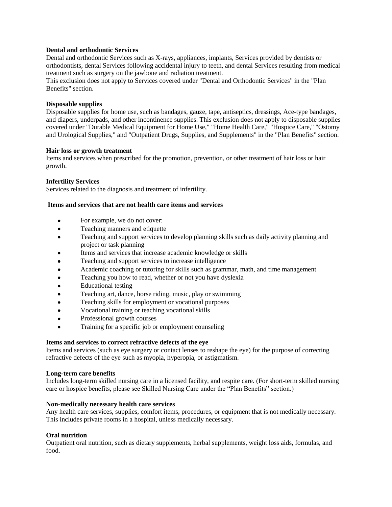#### **Dental and orthodontic Services**

Dental and orthodontic Services such as X-rays, appliances, implants, Services provided by dentists or orthodontists, dental Services following accidental injury to teeth, and dental Services resulting from medical treatment such as surgery on the jawbone and radiation treatment.

This exclusion does not apply to Services covered under "Dental and Orthodontic Services" in the "Plan Benefits" section.

#### **Disposable supplies**

Disposable supplies for home use, such as bandages, gauze, tape, antiseptics, dressings, Ace-type bandages, and diapers, underpads, and other incontinence supplies. This exclusion does not apply to disposable supplies covered under "Durable Medical Equipment for Home Use," "Home Health Care," "Hospice Care," "Ostomy and Urological Supplies," and "Outpatient Drugs, Supplies, and Supplements" in the "Plan Benefits" section.

#### **Hair loss or growth treatment**

Items and services when prescribed for the promotion, prevention, or other treatment of hair loss or hair growth.

#### **Infertility Services**

Services related to the diagnosis and treatment of infertility.

#### **Items and services that are not health care items and services**

- $\bullet$ For example, we do not cover:
- $\bullet$ Teaching manners and etiquette
- $\bullet$ Teaching and support services to develop planning skills such as daily activity planning and project or task planning
- Items and services that increase academic knowledge or skills
- $\bullet$ Teaching and support services to increase intelligence
- $\bullet$ Academic coaching or tutoring for skills such as grammar, math, and time management
- $\bullet$ Teaching you how to read, whether or not you have dyslexia
- $\bullet$ Educational testing
- Teaching art, dance, horse riding, music, play or swimming  $\bullet$
- $\bullet$ Teaching skills for employment or vocational purposes
- $\bullet$ Vocational training or teaching vocational skills
- Professional growth courses  $\bullet$
- $\bullet$ Training for a specific job or employment counseling

#### **Items and services to correct refractive defects of the eye**

Items and services (such as eye surgery or contact lenses to reshape the eye) for the purpose of correcting refractive defects of the eye such as myopia, hyperopia, or astigmatism.

#### **Long-term care benefits**

Includes long-term skilled nursing care in a licensed facility, and respite care. (For short-term skilled nursing care or hospice benefits, please see Skilled Nursing Care under the "Plan Benefits" section.)

#### **Non-medically necessary health care services**

Any health care services, supplies, comfort items, procedures, or equipment that is not medically necessary. This includes private rooms in a hospital, unless medically necessary.

#### **Oral nutrition**

Outpatient oral nutrition, such as dietary supplements, herbal supplements, weight loss aids, formulas, and food.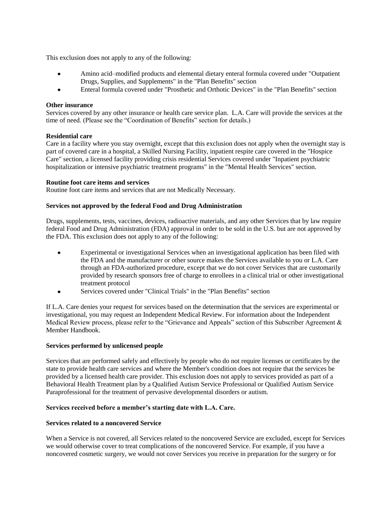This exclusion does not apply to any of the following:

- $\bullet$ Amino acid–modified products and elemental dietary enteral formula covered under "Outpatient Drugs, Supplies, and Supplements" in the "Plan Benefits" section
- Enteral formula covered under "Prosthetic and Orthotic Devices" in the "Plan Benefits" section  $\bullet$

#### **Other insurance**

Services covered by any other insurance or health care service plan. L.A. Care will provide the services at the time of need. (Please see the "Coordination of Benefits" section for details.)

#### **Residential care**

Care in a facility where you stay overnight, except that this exclusion does not apply when the overnight stay is part of covered care in a hospital, a Skilled Nursing Facility, inpatient respite care covered in the "Hospice Care" section, a licensed facility providing crisis residential Services covered under "Inpatient psychiatric hospitalization or intensive psychiatric treatment programs" in the "Mental Health Services" section.

#### **Routine foot care items and services**

Routine foot care items and services that are not Medically Necessary.

#### **Services not approved by the federal Food and Drug Administration**

Drugs, supplements, tests, vaccines, devices, radioactive materials, and any other Services that by law require federal Food and Drug Administration (FDA) approval in order to be sold in the U.S. but are not approved by the FDA. This exclusion does not apply to any of the following:

- Experimental or investigational Services when an investigational application has been filed with the FDA and the manufacturer or other source makes the Services available to you or L.A. Care through an FDA-authorized procedure, except that we do not cover Services that are customarily provided by research sponsors free of charge to enrollees in a clinical trial or other investigational treatment protocol
- Services covered under "Clinical Trials" in the "Plan Benefits" section  $\bullet$

If L.A. Care denies your request for services based on the determination that the services are experimental or investigational, you may request an Independent Medical Review. For information about the Independent Medical Review process, please refer to the "Grievance and Appeals" section of this Subscriber Agreement & Member Handbook.

#### **Services performed by unlicensed people**

Services that are performed safely and effectively by people who do not require licenses or certificates by the state to provide health care services and where the Member's condition does not require that the services be provided by a licensed health care provider. This exclusion does not apply to services provided as part of a Behavioral Health Treatment plan by a Qualified Autism Service Professional or Qualified Autism Service Paraprofessional for the treatment of pervasive developmental disorders or autism.

#### **Services received before a member's starting date with L.A. Care.**

#### **Services related to a noncovered Service**

When a Service is not covered, all Services related to the noncovered Service are excluded, except for Services we would otherwise cover to treat complications of the noncovered Service. For example, if you have a noncovered cosmetic surgery, we would not cover Services you receive in preparation for the surgery or for